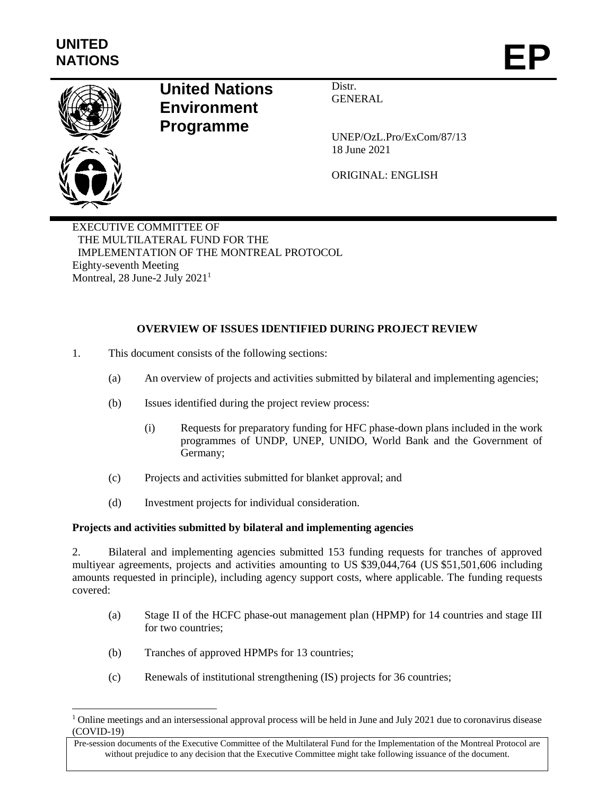

l

### **United Nations Environment Programme**

Distr. GENERAL

UNEP/OzL.Pro/ExCom/87/13 18 June 2021

ORIGINAL: ENGLISH

EXECUTIVE COMMITTEE OF THE MULTILATERAL FUND FOR THE IMPLEMENTATION OF THE MONTREAL PROTOCOL Eighty-seventh Meeting Montreal, 28 June-2 July 2021<sup>1</sup>

### **OVERVIEW OF ISSUES IDENTIFIED DURING PROJECT REVIEW**

- 1. This document consists of the following sections:
	- (a) An overview of projects and activities submitted by bilateral and implementing agencies;
	- (b) Issues identified during the project review process:
		- (i) Requests for preparatory funding for HFC phase-down plans included in the work programmes of UNDP, UNEP, UNIDO, World Bank and the Government of Germany;
	- (c) Projects and activities submitted for blanket approval; and
	- (d) Investment projects for individual consideration.

#### **Projects and activities submitted by bilateral and implementing agencies**

2. Bilateral and implementing agencies submitted 153 funding requests for tranches of approved multiyear agreements, projects and activities amounting to US \$39,044,764 (US \$51,501,606 including amounts requested in principle), including agency support costs, where applicable. The funding requests covered:

- (a) Stage II of the HCFC phase-out management plan (HPMP) for 14 countries and stage III for two countries;
- (b) Tranches of approved HPMPs for 13 countries;
- (c) Renewals of institutional strengthening (IS) projects for 36 countries;

<sup>&</sup>lt;sup>1</sup> Online meetings and an intersessional approval process will be held in June and July 2021 due to coronavirus disease (COVID-19)

Pre-session documents of the Executive Committee of the Multilateral Fund for the Implementation of the Montreal Protocol are without prejudice to any decision that the Executive Committee might take following issuance of the document.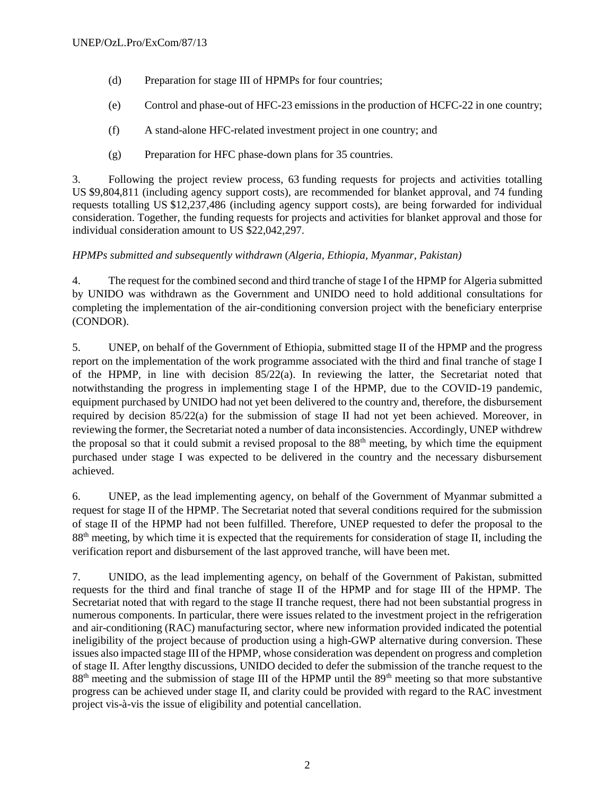- (d) Preparation for stage III of HPMPs for four countries;
- (e) Control and phase-out of HFC-23 emissions in the production of HCFC-22 in one country;
- (f) A stand-alone HFC-related investment project in one country; and
- (g) Preparation for HFC phase-down plans for 35 countries.

3. Following the project review process, 63 funding requests for projects and activities totalling US \$9,804,811 (including agency support costs), are recommended for blanket approval, and 74 funding requests totalling US \$12,237,486 (including agency support costs), are being forwarded for individual consideration. Together, the funding requests for projects and activities for blanket approval and those for individual consideration amount to US \$22,042,297.

### *HPMPs submitted and subsequently withdrawn* (*Algeria, Ethiopia, Myanmar, Pakistan)*

4. The request for the combined second and third tranche of stage I of the HPMP for Algeria submitted by UNIDO was withdrawn as the Government and UNIDO need to hold additional consultations for completing the implementation of the air-conditioning conversion project with the beneficiary enterprise (CONDOR).

5. UNEP, on behalf of the Government of Ethiopia, submitted stage II of the HPMP and the progress report on the implementation of the work programme associated with the third and final tranche of stage I of the HPMP, in line with decision 85/22(a). In reviewing the latter, the Secretariat noted that notwithstanding the progress in implementing stage I of the HPMP, due to the COVID-19 pandemic, equipment purchased by UNIDO had not yet been delivered to the country and, therefore, the disbursement required by decision 85/22(a) for the submission of stage II had not yet been achieved. Moreover, in reviewing the former, the Secretariat noted a number of data inconsistencies. Accordingly, UNEP withdrew the proposal so that it could submit a revised proposal to the 88th meeting, by which time the equipment purchased under stage I was expected to be delivered in the country and the necessary disbursement achieved.

6. UNEP, as the lead implementing agency, on behalf of the Government of Myanmar submitted a request for stage II of the HPMP. The Secretariat noted that several conditions required for the submission of stage II of the HPMP had not been fulfilled. Therefore, UNEP requested to defer the proposal to the 88th meeting, by which time it is expected that the requirements for consideration of stage II, including the verification report and disbursement of the last approved tranche, will have been met.

7. UNIDO, as the lead implementing agency, on behalf of the Government of Pakistan, submitted requests for the third and final tranche of stage II of the HPMP and for stage III of the HPMP. The Secretariat noted that with regard to the stage II tranche request, there had not been substantial progress in numerous components. In particular, there were issues related to the investment project in the refrigeration and air-conditioning (RAC) manufacturing sector, where new information provided indicated the potential ineligibility of the project because of production using a high-GWP alternative during conversion. These issues also impacted stage III of the HPMP, whose consideration was dependent on progress and completion of stage II. After lengthy discussions, UNIDO decided to defer the submission of the tranche request to the 88<sup>th</sup> meeting and the submission of stage III of the HPMP until the 89<sup>th</sup> meeting so that more substantive progress can be achieved under stage II, and clarity could be provided with regard to the RAC investment project vis-à-vis the issue of eligibility and potential cancellation.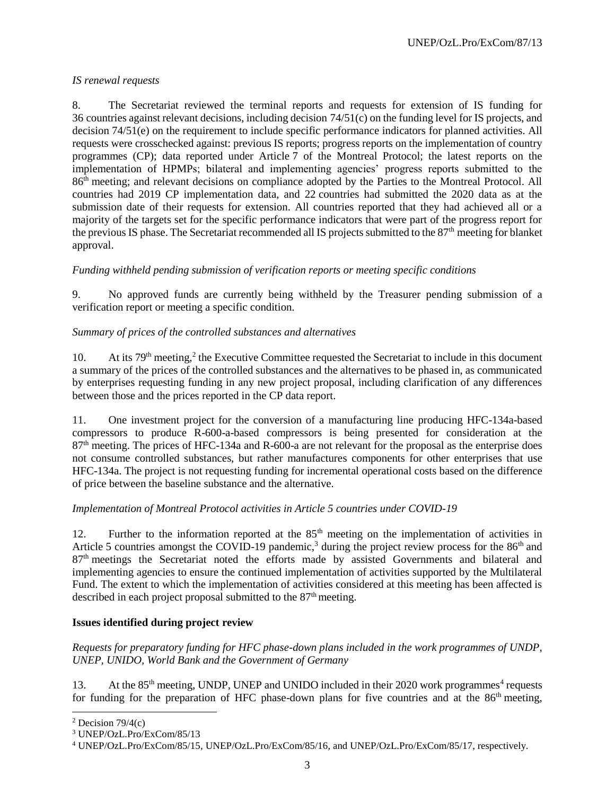### *IS renewal requests*

8. The Secretariat reviewed the terminal reports and requests for extension of IS funding for 36 countries against relevant decisions, including decision 74/51(c) on the funding level for IS projects, and decision 74/51(e) on the requirement to include specific performance indicators for planned activities. All requests were crosschecked against: previous IS reports; progress reports on the implementation of country programmes (CP); data reported under Article 7 of the Montreal Protocol; the latest reports on the implementation of HPMPs; bilateral and implementing agencies' progress reports submitted to the 86<sup>th</sup> meeting; and relevant decisions on compliance adopted by the Parties to the Montreal Protocol. All countries had 2019 CP implementation data, and 22 countries had submitted the 2020 data as at the submission date of their requests for extension. All countries reported that they had achieved all or a majority of the targets set for the specific performance indicators that were part of the progress report for the previous IS phase. The Secretariat recommended all IS projects submitted to the 87<sup>th</sup> meeting for blanket approval.

### *Funding withheld pending submission of verification reports or meeting specific conditions*

9. No approved funds are currently being withheld by the Treasurer pending submission of a verification report or meeting a specific condition.

### *Summary of prices of the controlled substances and alternatives*

10. At its 79<sup>th</sup> meeting,<sup>2</sup> the Executive Committee requested the Secretariat to include in this document a summary of the prices of the controlled substances and the alternatives to be phased in, as communicated by enterprises requesting funding in any new project proposal, including clarification of any differences between those and the prices reported in the CP data report.

11. One investment project for the conversion of a manufacturing line producing HFC-134a-based compressors to produce R-600-a-based compressors is being presented for consideration at the 87<sup>th</sup> meeting. The prices of HFC-134a and R-600-a are not relevant for the proposal as the enterprise does not consume controlled substances, but rather manufactures components for other enterprises that use HFC-134a. The project is not requesting funding for incremental operational costs based on the difference of price between the baseline substance and the alternative.

### *Implementation of Montreal Protocol activities in Article 5 countries under COVID-19*

12. Further to the information reported at the 85<sup>th</sup> meeting on the implementation of activities in Article 5 countries amongst the COVID-19 pandemic,<sup>3</sup> during the project review process for the 86<sup>th</sup> and 87th meetings the Secretariat noted the efforts made by assisted Governments and bilateral and implementing agencies to ensure the continued implementation of activities supported by the Multilateral Fund. The extent to which the implementation of activities considered at this meeting has been affected is described in each project proposal submitted to the  $87<sup>th</sup>$  meeting.

### **Issues identified during project review**

*Requests for preparatory funding for HFC phase-down plans included in the work programmes of UNDP, UNEP, UNIDO, World Bank and the Government of Germany*

13. At the 85<sup>th</sup> meeting, UNDP, UNEP and UNIDO included in their 2020 work programmes<sup>4</sup> requests for funding for the preparation of HFC phase-down plans for five countries and at the  $86<sup>th</sup>$  meeting,

l

<sup>&</sup>lt;sup>2</sup> Decision  $79/4(c)$ 

<sup>3</sup> UNEP/OzL.Pro/ExCom/85/13

<sup>4</sup> UNEP/OzL.Pro/ExCom/85/15, UNEP/OzL.Pro/ExCom/85/16, and UNEP/OzL.Pro/ExCom/85/17, respectively.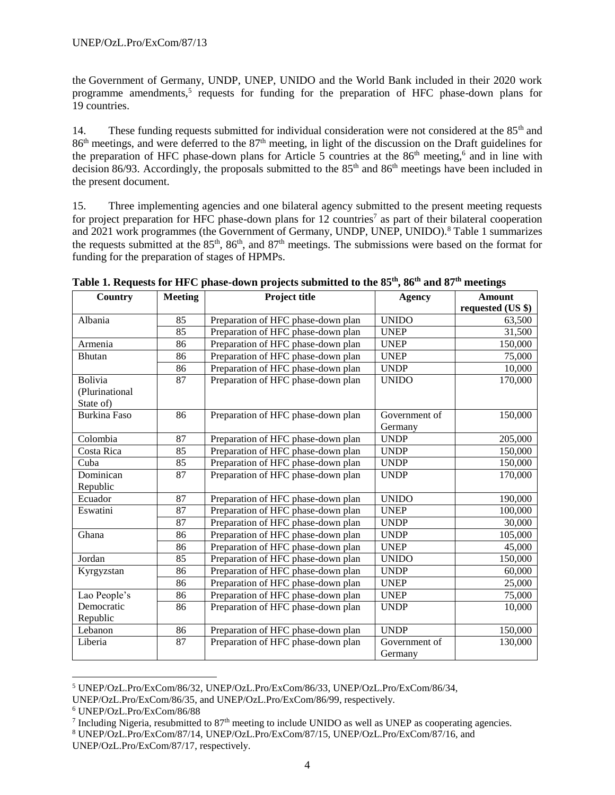the Government of Germany, UNDP, UNEP, UNIDO and the World Bank included in their 2020 work programme amendments,<sup>5</sup> requests for funding for the preparation of HFC phase-down plans for 19 countries.

14. These funding requests submitted for individual consideration were not considered at the 85<sup>th</sup> and 86<sup>th</sup> meetings, and were deferred to the 87<sup>th</sup> meeting, in light of the discussion on the Draft guidelines for the preparation of HFC phase-down plans for Article 5 countries at the  $86<sup>th</sup>$  meeting,<sup>6</sup> and in line with decision 86/93. Accordingly, the proposals submitted to the  $85<sup>th</sup>$  and  $86<sup>th</sup>$  meetings have been included in the present document.

15. Three implementing agencies and one bilateral agency submitted to the present meeting requests for project preparation for HFC phase-down plans for  $12$  countries<sup>7</sup> as part of their bilateral cooperation and 2021 work programmes (the Government of Germany, UNDP, UNEP, UNIDO).<sup>8</sup> Table 1 summarizes the requests submitted at the  $85<sup>th</sup>$ ,  $86<sup>th</sup>$ , and  $87<sup>th</sup>$  meetings. The submissions were based on the format for funding for the preparation of stages of HPMPs.

| <b>Country</b>      | <b>Meeting</b> | Project title                      | <b>Agency</b> | <b>Amount</b>     |
|---------------------|----------------|------------------------------------|---------------|-------------------|
|                     |                |                                    |               | requested (US \$) |
| Albania             | 85             | Preparation of HFC phase-down plan | <b>UNIDO</b>  | 63,500            |
|                     | 85             | Preparation of HFC phase-down plan | <b>UNEP</b>   | 31,500            |
| Armenia             | 86             | Preparation of HFC phase-down plan | <b>UNEP</b>   | 150,000           |
| <b>Bhutan</b>       | 86             | Preparation of HFC phase-down plan | <b>UNEP</b>   | 75,000            |
|                     | 86             | Preparation of HFC phase-down plan | <b>UNDP</b>   | 10,000            |
| <b>Bolivia</b>      | 87             | Preparation of HFC phase-down plan | <b>UNIDO</b>  | 170,000           |
| (Plurinational      |                |                                    |               |                   |
| State of)           |                |                                    |               |                   |
| <b>Burkina Faso</b> | 86             | Preparation of HFC phase-down plan | Government of | 150,000           |
|                     |                |                                    | Germany       |                   |
| Colombia            | 87             | Preparation of HFC phase-down plan | <b>UNDP</b>   | 205,000           |
| Costa Rica          | 85             | Preparation of HFC phase-down plan | <b>UNDP</b>   | 150,000           |
| Cuba                | 85             | Preparation of HFC phase-down plan | <b>UNDP</b>   | 150,000           |
| Dominican           | 87             | Preparation of HFC phase-down plan | <b>UNDP</b>   | 170,000           |
| Republic            |                |                                    |               |                   |
| Ecuador             | 87             | Preparation of HFC phase-down plan | <b>UNIDO</b>  | 190,000           |
| Eswatini            | 87             | Preparation of HFC phase-down plan | <b>UNEP</b>   | 100,000           |
|                     | 87             | Preparation of HFC phase-down plan | <b>UNDP</b>   | 30,000            |
| Ghana               | 86             | Preparation of HFC phase-down plan | <b>UNDP</b>   | 105,000           |
|                     | 86             | Preparation of HFC phase-down plan | <b>UNEP</b>   | 45,000            |
| Jordan              | 85             | Preparation of HFC phase-down plan | <b>UNIDO</b>  | 150,000           |
| Kyrgyzstan          | 86             | Preparation of HFC phase-down plan | <b>UNDP</b>   | 60,000            |
|                     | 86             | Preparation of HFC phase-down plan | <b>UNEP</b>   | 25,000            |
| Lao People's        | 86             | Preparation of HFC phase-down plan | <b>UNEP</b>   | 75,000            |
| Democratic          | 86             | Preparation of HFC phase-down plan | <b>UNDP</b>   | 10,000            |
| Republic            |                |                                    |               |                   |
| Lebanon             | 86             | Preparation of HFC phase-down plan | <b>UNDP</b>   | 150,000           |
| Liberia             | 87             | Preparation of HFC phase-down plan | Government of | 130,000           |
|                     |                |                                    | Germany       |                   |

**Table 1. Requests for HFC phase-down projects submitted to the 85th, 86th and 87th meetings** 

l

<sup>5</sup> UNEP/OzL.Pro/ExCom/86/32, UNEP/OzL.Pro/ExCom/86/33, UNEP/OzL.Pro/ExCom/86/34, UNEP/OzL.Pro/ExCom/86/35, and UNEP/OzL.Pro/ExCom/86/99, respectively.

<sup>6</sup> UNEP/OzL.Pro/ExCom/86/88

<sup>&</sup>lt;sup>7</sup> Including Nigeria, resubmitted to 87<sup>th</sup> meeting to include UNIDO as well as UNEP as cooperating agencies.

<sup>8</sup> UNEP/OzL.Pro/ExCom/87/14, UNEP/OzL.Pro/ExCom/87/15, UNEP/OzL.Pro/ExCom/87/16, and UNEP/OzL.Pro/ExCom/87/17, respectively.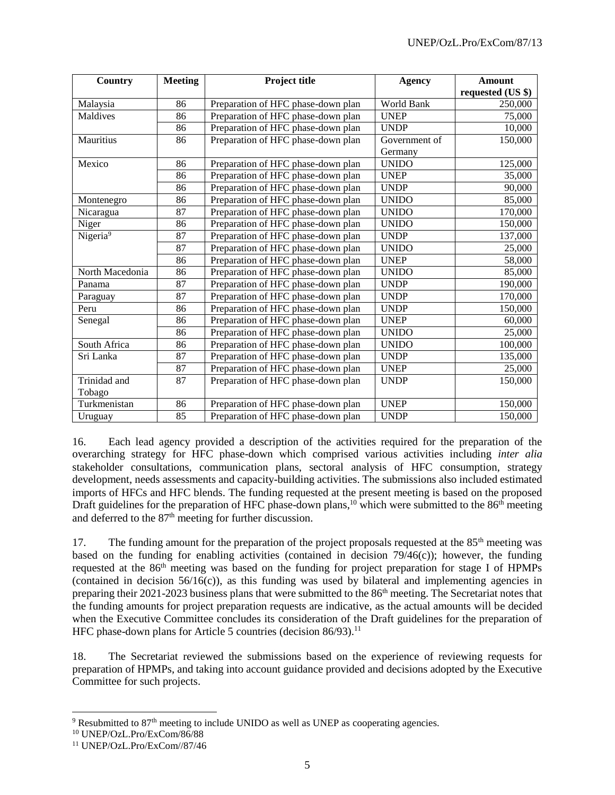| Country              | <b>Meeting</b> | <b>Project title</b>               | <b>Agency</b> | <b>Amount</b>     |
|----------------------|----------------|------------------------------------|---------------|-------------------|
|                      |                |                                    |               | requested (US \$) |
| Malaysia             | 86             | Preparation of HFC phase-down plan | World Bank    | 250,000           |
| Maldives             | 86             | Preparation of HFC phase-down plan | <b>UNEP</b>   | 75,000            |
|                      | 86             | Preparation of HFC phase-down plan | <b>UNDP</b>   | 10,000            |
| Mauritius            | 86             | Preparation of HFC phase-down plan | Government of | 150,000           |
|                      |                |                                    | Germany       |                   |
| Mexico               | 86             | Preparation of HFC phase-down plan | <b>UNIDO</b>  | 125,000           |
|                      | 86             | Preparation of HFC phase-down plan | <b>UNEP</b>   | 35,000            |
|                      | 86             | Preparation of HFC phase-down plan | <b>UNDP</b>   | 90,000            |
| Montenegro           | 86             | Preparation of HFC phase-down plan | <b>UNIDO</b>  | 85,000            |
| Nicaragua            | 87             | Preparation of HFC phase-down plan | <b>UNIDO</b>  | 170,000           |
| Niger                | 86             | Preparation of HFC phase-down plan | <b>UNIDO</b>  | 150,000           |
| Nigeria <sup>9</sup> | 87             | Preparation of HFC phase-down plan | <b>UNDP</b>   | 137,000           |
|                      | 87             | Preparation of HFC phase-down plan | <b>UNIDO</b>  | 25,000            |
|                      | 86             | Preparation of HFC phase-down plan | <b>UNEP</b>   | 58,000            |
| North Macedonia      | 86             | Preparation of HFC phase-down plan | <b>UNIDO</b>  | 85,000            |
| Panama               | 87             | Preparation of HFC phase-down plan | <b>UNDP</b>   | 190,000           |
| Paraguay             | 87             | Preparation of HFC phase-down plan | <b>UNDP</b>   | 170,000           |
| Peru                 | 86             | Preparation of HFC phase-down plan | <b>UNDP</b>   | 150,000           |
| Senegal              | 86             | Preparation of HFC phase-down plan | <b>UNEP</b>   | 60,000            |
|                      | 86             | Preparation of HFC phase-down plan | <b>UNIDO</b>  | 25,000            |
| South Africa         | 86             | Preparation of HFC phase-down plan | <b>UNIDO</b>  | 100,000           |
| Sri Lanka            | 87             | Preparation of HFC phase-down plan | <b>UNDP</b>   | 135,000           |
|                      | 87             | Preparation of HFC phase-down plan | <b>UNEP</b>   | 25,000            |
| Trinidad and         | 87             | Preparation of HFC phase-down plan | <b>UNDP</b>   | 150,000           |
| Tobago               |                |                                    |               |                   |
| Turkmenistan         | 86             | Preparation of HFC phase-down plan | <b>UNEP</b>   | 150,000           |
| Uruguay              | 85             | Preparation of HFC phase-down plan | <b>UNDP</b>   | 150,000           |

16. Each lead agency provided a description of the activities required for the preparation of the overarching strategy for HFC phase-down which comprised various activities including *inter alia* stakeholder consultations, communication plans, sectoral analysis of HFC consumption, strategy development, needs assessments and capacity-building activities. The submissions also included estimated imports of HFCs and HFC blends. The funding requested at the present meeting is based on the proposed Draft guidelines for the preparation of HFC phase-down plans,<sup>10</sup> which were submitted to the  $86<sup>th</sup>$  meeting and deferred to the  $87<sup>th</sup>$  meeting for further discussion.

17. The funding amount for the preparation of the project proposals requested at the  $85<sup>th</sup>$  meeting was based on the funding for enabling activities (contained in decision  $79/46(c)$ ); however, the funding requested at the 86th meeting was based on the funding for project preparation for stage I of HPMPs (contained in decision  $56/16(c)$ ), as this funding was used by bilateral and implementing agencies in preparing their 2021-2023 business plans that were submitted to the 86th meeting. The Secretariat notes that the funding amounts for project preparation requests are indicative, as the actual amounts will be decided when the Executive Committee concludes its consideration of the Draft guidelines for the preparation of HFC phase-down plans for Article 5 countries (decision  $86/93$ ).<sup>11</sup>

18. The Secretariat reviewed the submissions based on the experience of reviewing requests for preparation of HPMPs, and taking into account guidance provided and decisions adopted by the Executive Committee for such projects.

l

 $9$  Resubmitted to  $87<sup>th</sup>$  meeting to include UNIDO as well as UNEP as cooperating agencies.

<sup>10</sup> UNEP/OzL.Pro/ExCom/86/88

<sup>11</sup> UNEP/OzL.Pro/ExCom//87/46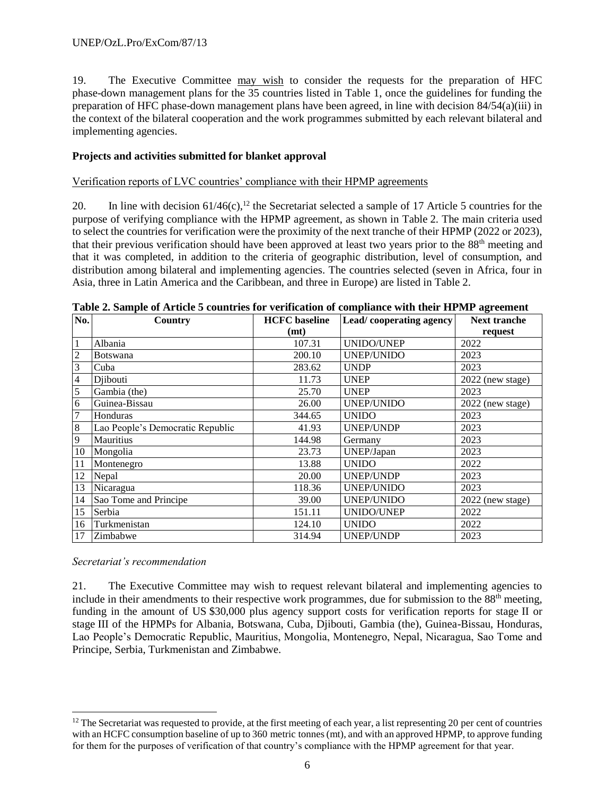19. The Executive Committee may wish to consider the requests for the preparation of HFC phase-down management plans for the 35 countries listed in Table 1, once the guidelines for funding the preparation of HFC phase-down management plans have been agreed, in line with decision 84/54(a)(iii) in the context of the bilateral cooperation and the work programmes submitted by each relevant bilateral and implementing agencies.

### **Projects and activities submitted for blanket approval**

Verification reports of LVC countries' compliance with their HPMP agreements

20. In line with decision  $61/46(c)$ ,<sup>12</sup> the Secretariat selected a sample of 17 Article 5 countries for the purpose of verifying compliance with the HPMP agreement, as shown in Table 2. The main criteria used to select the countries for verification were the proximity of the next tranche of their HPMP (2022 or 2023), that their previous verification should have been approved at least two years prior to the 88<sup>th</sup> meeting and that it was completed, in addition to the criteria of geographic distribution, level of consumption, and distribution among bilateral and implementing agencies. The countries selected (seven in Africa, four in Asia, three in Latin America and the Caribbean, and three in Europe) are listed in Table 2.

| No.            | Country                          | <b>HCFC</b> baseline | Lead/cooperating agency | <b>Next tranche</b> |
|----------------|----------------------------------|----------------------|-------------------------|---------------------|
|                |                                  | (mt)                 |                         | request             |
| 1              | Albania                          | 107.31               | <b>UNIDO/UNEP</b>       | 2022                |
| $\overline{2}$ | <b>Botswana</b>                  | 200.10               | <b>UNEP/UNIDO</b>       | 2023                |
| 3              | Cuba                             | 283.62               | <b>UNDP</b>             | 2023                |
| $\overline{4}$ | Djibouti                         | 11.73                | <b>UNEP</b>             | 2022 (new stage)    |
| 5              | Gambia (the)                     | 25.70                | <b>UNEP</b>             | 2023                |
| 6              | Guinea-Bissau                    | 26.00                | UNEP/UNIDO              | $2022$ (new stage)  |
| 7              | Honduras                         | 344.65               | <b>UNIDO</b>            | 2023                |
| $\,8\,$        | Lao People's Democratic Republic | 41.93                | UNEP/UNDP               | 2023                |
| 9              | Mauritius                        | 144.98               | Germany                 | 2023                |
| 10             | Mongolia                         | 23.73                | UNEP/Japan              | 2023                |
| 11             | Montenegro                       | 13.88                | <b>UNIDO</b>            | 2022                |
| 12             | Nepal                            | 20.00                | UNEP/UNDP               | 2023                |
| 13             | Nicaragua                        | 118.36               | <b>UNEP/UNIDO</b>       | 2023                |
| 14             | Sao Tome and Principe            | 39.00                | <b>UNEP/UNIDO</b>       | 2022 (new stage)    |
| 15             | Serbia                           | 151.11               | UNIDO/UNEP              | 2022                |
| 16             | Turkmenistan                     | 124.10               | <b>UNIDO</b>            | 2022                |
| 17             | Zimbabwe                         | 314.94               | UNEP/UNDP               | 2023                |

#### **Table 2. Sample of Article 5 countries for verification of compliance with their HPMP agreement**

*Secretariat's recommendation*

l

21. The Executive Committee may wish to request relevant bilateral and implementing agencies to include in their amendments to their respective work programmes, due for submission to the  $88<sup>th</sup>$  meeting, funding in the amount of US \$30,000 plus agency support costs for verification reports for stage II or stage III of the HPMPs for Albania, Botswana, Cuba, Djibouti, Gambia (the), Guinea-Bissau, Honduras, Lao People's Democratic Republic, Mauritius, Mongolia, Montenegro, Nepal, Nicaragua, Sao Tome and Principe, Serbia, Turkmenistan and Zimbabwe.

 $12$  The Secretariat was requested to provide, at the first meeting of each year, a list representing 20 per cent of countries with an HCFC consumption baseline of up to 360 metric tonnes (mt), and with an approved HPMP, to approve funding for them for the purposes of verification of that country's compliance with the HPMP agreement for that year.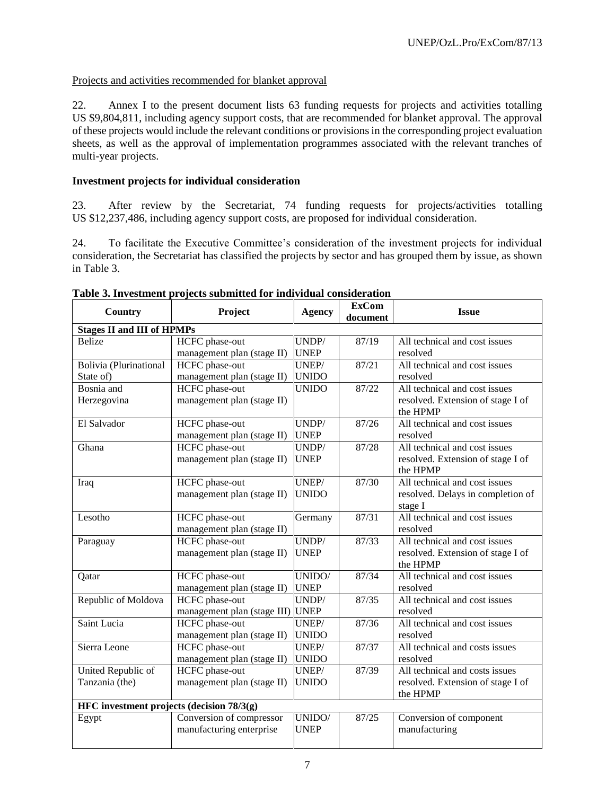22. Annex I to the present document lists 63 funding requests for projects and activities totalling US \$9,804,811, including agency support costs, that are recommended for blanket approval. The approval of these projects would include the relevant conditions or provisions in the corresponding project evaluation sheets, as well as the approval of implementation programmes associated with the relevant tranches of multi-year projects.

#### **Investment projects for individual consideration**

23. After review by the Secretariat, 74 funding requests for projects/activities totalling US \$12,237,486, including agency support costs, are proposed for individual consideration.

24. To facilitate the Executive Committee's consideration of the investment projects for individual consideration, the Secretariat has classified the projects by sector and has grouped them by issue, as shown in Table 3.

| Country                                   | Project                     | <b>Agency</b> | <b>ExCom</b><br>document | <b>Issue</b>                                  |
|-------------------------------------------|-----------------------------|---------------|--------------------------|-----------------------------------------------|
| <b>Stages II and III of HPMPs</b>         |                             |               |                          |                                               |
| <b>Belize</b>                             | HCFC phase-out              | UNDP/         | 87/19                    | All technical and cost issues                 |
|                                           | management plan (stage II)  | <b>UNEP</b>   |                          | resolved                                      |
| Bolivia (Plurinational                    | HCFC phase-out              | UNEP/         | 87/21                    | All technical and cost issues                 |
| State of)                                 | management plan (stage II)  | <b>UNIDO</b>  |                          | resolved                                      |
| Bosnia and                                | <b>HCFC</b> phase-out       | <b>UNIDO</b>  | 87/22                    | All technical and cost issues                 |
| Herzegovina                               | management plan (stage II)  |               |                          | resolved. Extension of stage I of             |
|                                           |                             |               |                          | the HPMP                                      |
| El Salvador                               | HCFC phase-out              | UNDP/         | 87/26                    | All technical and cost issues                 |
|                                           | management plan (stage II)  | <b>UNEP</b>   |                          | resolved                                      |
| Ghana                                     | <b>HCFC</b> phase-out       | UNDP/         | 87/28                    | All technical and cost issues                 |
|                                           | management plan (stage II)  | <b>UNEP</b>   |                          | resolved. Extension of stage I of             |
|                                           |                             |               |                          | the HPMP                                      |
| Iraq                                      | HCFC phase-out              | UNEP/         | 87/30                    | All technical and cost issues                 |
|                                           | management plan (stage II)  | <b>UNIDO</b>  |                          | resolved. Delays in completion of             |
|                                           |                             |               |                          | stage I                                       |
| Lesotho                                   | HCFC phase-out              | Germany       | 87/31                    | All technical and cost issues                 |
|                                           | management plan (stage II)  |               |                          | resolved                                      |
| Paraguay                                  | <b>HCFC</b> phase-out       | UNDP/         | 87/33                    | All technical and cost issues                 |
|                                           | management plan (stage II)  | <b>UNEP</b>   |                          | resolved. Extension of stage I of<br>the HPMP |
| Qatar                                     | <b>HCFC</b> phase-out       | UNIDO/        | 87/34                    | All technical and cost issues                 |
|                                           | management plan (stage II)  | <b>UNEP</b>   |                          | resolved                                      |
| Republic of Moldova                       | <b>HCFC</b> phase-out       | UNDP/         | 87/35                    | All technical and cost issues                 |
|                                           | management plan (stage III) | <b>UNEP</b>   |                          | resolved                                      |
| Saint Lucia                               | <b>HCFC</b> phase-out       | UNEP/         | 87/36                    | All technical and cost issues                 |
|                                           | management plan (stage II)  | <b>UNIDO</b>  |                          | resolved                                      |
| Sierra Leone                              | <b>HCFC</b> phase-out       | UNEP/         | 87/37                    | All technical and costs issues                |
|                                           | management plan (stage II)  | <b>UNIDO</b>  |                          | resolved                                      |
| United Republic of                        | <b>HCFC</b> phase-out       | UNEP/         | 87/39                    | All technical and costs issues                |
| Tanzania (the)                            | management plan (stage II)  | <b>UNIDO</b>  |                          | resolved. Extension of stage I of             |
|                                           |                             |               |                          | the HPMP                                      |
| HFC investment projects (decision 78/3(g) |                             |               |                          |                                               |
| Egypt                                     | Conversion of compressor    | UNIDO/        | 87/25                    | Conversion of component                       |
|                                           | manufacturing enterprise    | <b>UNEP</b>   |                          | manufacturing                                 |
|                                           |                             |               |                          |                                               |

### **Table 3. Investment projects submitted for individual consideration**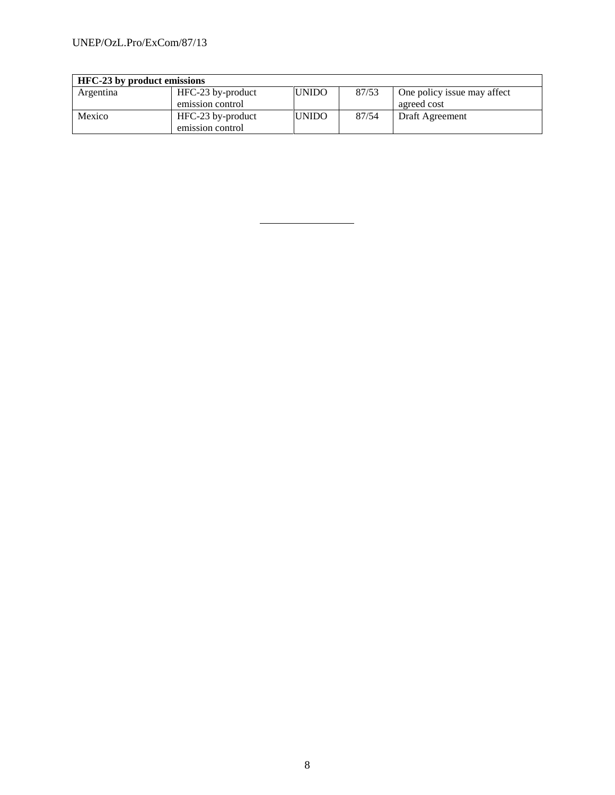| <b>HFC-23</b> by product emissions |                   |              |       |                             |
|------------------------------------|-------------------|--------------|-------|-----------------------------|
| Argentina                          | HFC-23 by-product | <b>UNIDO</b> | 87/53 | One policy issue may affect |
|                                    | emission control  |              |       | agreed cost                 |
| Mexico                             | HFC-23 by-product | <b>UNIDO</b> | 87/54 | Draft Agreement             |
|                                    | emission control  |              |       |                             |

8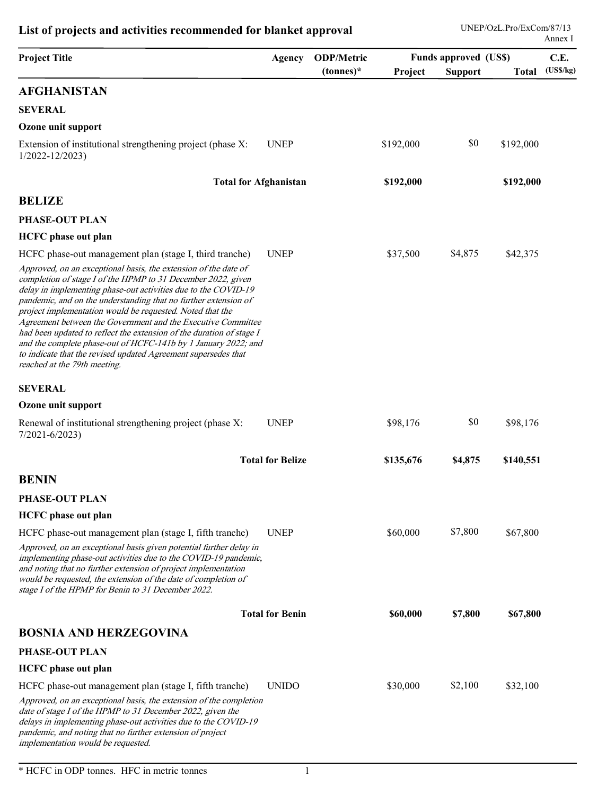| List of projects and activities recommended for blanket approval                                                                                                                                                                                                                                                                                                                                                                                                                                                                                                                                                                                                                                         |                         |                                   |           |                                                | UNEP/OzL.Pro/ExCom/87/13 | Annex I          |
|----------------------------------------------------------------------------------------------------------------------------------------------------------------------------------------------------------------------------------------------------------------------------------------------------------------------------------------------------------------------------------------------------------------------------------------------------------------------------------------------------------------------------------------------------------------------------------------------------------------------------------------------------------------------------------------------------------|-------------------------|-----------------------------------|-----------|------------------------------------------------|--------------------------|------------------|
| <b>Project Title</b>                                                                                                                                                                                                                                                                                                                                                                                                                                                                                                                                                                                                                                                                                     | Agency                  | <b>ODP/Metric</b><br>$(tonnes)^*$ | Project   | <b>Funds approved (US\$)</b><br><b>Support</b> | <b>Total</b>             | C.E.<br>(USS/kg) |
| <b>AFGHANISTAN</b>                                                                                                                                                                                                                                                                                                                                                                                                                                                                                                                                                                                                                                                                                       |                         |                                   |           |                                                |                          |                  |
| <b>SEVERAL</b>                                                                                                                                                                                                                                                                                                                                                                                                                                                                                                                                                                                                                                                                                           |                         |                                   |           |                                                |                          |                  |
| Ozone unit support                                                                                                                                                                                                                                                                                                                                                                                                                                                                                                                                                                                                                                                                                       |                         |                                   |           |                                                |                          |                  |
| Extension of institutional strengthening project (phase X:<br>$1/2022 - 12/2023$                                                                                                                                                                                                                                                                                                                                                                                                                                                                                                                                                                                                                         | <b>UNEP</b>             |                                   | \$192,000 | \$0                                            | \$192,000                |                  |
| <b>Total for Afghanistan</b>                                                                                                                                                                                                                                                                                                                                                                                                                                                                                                                                                                                                                                                                             |                         |                                   | \$192,000 |                                                | \$192,000                |                  |
| <b>BELIZE</b>                                                                                                                                                                                                                                                                                                                                                                                                                                                                                                                                                                                                                                                                                            |                         |                                   |           |                                                |                          |                  |
| PHASE-OUT PLAN                                                                                                                                                                                                                                                                                                                                                                                                                                                                                                                                                                                                                                                                                           |                         |                                   |           |                                                |                          |                  |
| <b>HCFC</b> phase out plan                                                                                                                                                                                                                                                                                                                                                                                                                                                                                                                                                                                                                                                                               |                         |                                   |           |                                                |                          |                  |
| HCFC phase-out management plan (stage I, third tranche)<br>Approved, on an exceptional basis, the extension of the date of<br>completion of stage I of the HPMP to 31 December 2022, given<br>delay in implementing phase-out activities due to the COVID-19<br>pandemic, and on the understanding that no further extension of<br>project implementation would be requested. Noted that the<br>Agreement between the Government and the Executive Committee<br>had been updated to reflect the extension of the duration of stage I<br>and the complete phase-out of HCFC-141b by 1 January 2022; and<br>to indicate that the revised updated Agreement supersedes that<br>reached at the 79th meeting. | <b>UNEP</b>             |                                   | \$37,500  | \$4,875                                        | \$42,375                 |                  |
| <b>SEVERAL</b>                                                                                                                                                                                                                                                                                                                                                                                                                                                                                                                                                                                                                                                                                           |                         |                                   |           |                                                |                          |                  |
| Ozone unit support                                                                                                                                                                                                                                                                                                                                                                                                                                                                                                                                                                                                                                                                                       |                         |                                   |           |                                                |                          |                  |
| Renewal of institutional strengthening project (phase X:<br>$7/2021 - 6/2023$                                                                                                                                                                                                                                                                                                                                                                                                                                                                                                                                                                                                                            | <b>UNEP</b>             |                                   | \$98,176  | \$0                                            | \$98,176                 |                  |
|                                                                                                                                                                                                                                                                                                                                                                                                                                                                                                                                                                                                                                                                                                          | <b>Total for Belize</b> |                                   | \$135,676 | \$4,875                                        | \$140,551                |                  |
| <b>BENIN</b>                                                                                                                                                                                                                                                                                                                                                                                                                                                                                                                                                                                                                                                                                             |                         |                                   |           |                                                |                          |                  |
| PHASE-OUT PLAN                                                                                                                                                                                                                                                                                                                                                                                                                                                                                                                                                                                                                                                                                           |                         |                                   |           |                                                |                          |                  |
| <b>HCFC</b> phase out plan                                                                                                                                                                                                                                                                                                                                                                                                                                                                                                                                                                                                                                                                               |                         |                                   |           |                                                |                          |                  |
| HCFC phase-out management plan (stage I, fifth tranche)                                                                                                                                                                                                                                                                                                                                                                                                                                                                                                                                                                                                                                                  | <b>UNEP</b>             |                                   | \$60,000  | \$7,800                                        | \$67,800                 |                  |
| Approved, on an exceptional basis given potential further delay in<br>implementing phase-out activities due to the COVID-19 pandemic,<br>and noting that no further extension of project implementation<br>would be requested, the extension of the date of completion of<br>stage I of the HPMP for Benin to 31 December 2022.                                                                                                                                                                                                                                                                                                                                                                          |                         |                                   |           |                                                |                          |                  |
|                                                                                                                                                                                                                                                                                                                                                                                                                                                                                                                                                                                                                                                                                                          | <b>Total for Benin</b>  |                                   | \$60,000  | \$7,800                                        | \$67,800                 |                  |
| <b>BOSNIA AND HERZEGOVINA</b>                                                                                                                                                                                                                                                                                                                                                                                                                                                                                                                                                                                                                                                                            |                         |                                   |           |                                                |                          |                  |
| PHASE-OUT PLAN                                                                                                                                                                                                                                                                                                                                                                                                                                                                                                                                                                                                                                                                                           |                         |                                   |           |                                                |                          |                  |
| <b>HCFC</b> phase out plan                                                                                                                                                                                                                                                                                                                                                                                                                                                                                                                                                                                                                                                                               |                         |                                   |           |                                                |                          |                  |
| HCFC phase-out management plan (stage I, fifth tranche)<br>Approved, on an exceptional basis, the extension of the completion<br>date of stage I of the HPMP to 31 December 2022, given the<br>delays in implementing phase-out activities due to the COVID-19<br>pandemic, and noting that no further extension of project<br>implementation would be requested.                                                                                                                                                                                                                                                                                                                                        | <b>UNIDO</b>            |                                   | \$30,000  | \$2,100                                        | \$32,100                 |                  |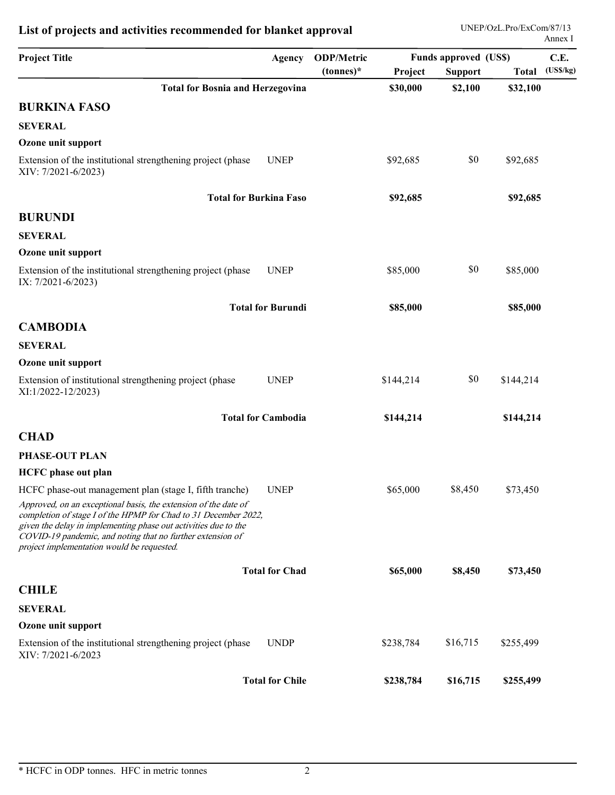|                                                                                                                                                                                                                                                                                                                   | Agency                        | <b>ODP/Metric</b> |           | Funds approved (US\$) |           | C.E.     |
|-------------------------------------------------------------------------------------------------------------------------------------------------------------------------------------------------------------------------------------------------------------------------------------------------------------------|-------------------------------|-------------------|-----------|-----------------------|-----------|----------|
| <b>Project Title</b>                                                                                                                                                                                                                                                                                              |                               | $(tonnes)^*$      | Project   | <b>Support</b>        | Total     | (USS/kg) |
| <b>Total for Bosnia and Herzegovina</b>                                                                                                                                                                                                                                                                           |                               |                   | \$30,000  | \$2,100               | \$32,100  |          |
| <b>BURKINA FASO</b>                                                                                                                                                                                                                                                                                               |                               |                   |           |                       |           |          |
| <b>SEVERAL</b>                                                                                                                                                                                                                                                                                                    |                               |                   |           |                       |           |          |
| Ozone unit support                                                                                                                                                                                                                                                                                                |                               |                   |           |                       |           |          |
| Extension of the institutional strengthening project (phase<br>XIV: 7/2021-6/2023)                                                                                                                                                                                                                                | <b>UNEP</b>                   |                   | \$92,685  | \$0                   | \$92,685  |          |
|                                                                                                                                                                                                                                                                                                                   | <b>Total for Burkina Faso</b> |                   | \$92,685  |                       | \$92,685  |          |
| <b>BURUNDI</b>                                                                                                                                                                                                                                                                                                    |                               |                   |           |                       |           |          |
| <b>SEVERAL</b>                                                                                                                                                                                                                                                                                                    |                               |                   |           |                       |           |          |
| Ozone unit support                                                                                                                                                                                                                                                                                                |                               |                   |           |                       |           |          |
| Extension of the institutional strengthening project (phase<br>IX: 7/2021-6/2023)                                                                                                                                                                                                                                 | <b>UNEP</b>                   |                   | \$85,000  | \$0                   | \$85,000  |          |
|                                                                                                                                                                                                                                                                                                                   | <b>Total for Burundi</b>      |                   | \$85,000  |                       | \$85,000  |          |
| <b>CAMBODIA</b>                                                                                                                                                                                                                                                                                                   |                               |                   |           |                       |           |          |
| <b>SEVERAL</b>                                                                                                                                                                                                                                                                                                    |                               |                   |           |                       |           |          |
| Ozone unit support                                                                                                                                                                                                                                                                                                |                               |                   |           |                       |           |          |
| Extension of institutional strengthening project (phase<br>XI:1/2022-12/2023)                                                                                                                                                                                                                                     | <b>UNEP</b>                   |                   | \$144,214 | \$0                   | \$144,214 |          |
|                                                                                                                                                                                                                                                                                                                   | <b>Total for Cambodia</b>     |                   | \$144,214 |                       | \$144,214 |          |
| <b>CHAD</b>                                                                                                                                                                                                                                                                                                       |                               |                   |           |                       |           |          |
| PHASE-OUT PLAN                                                                                                                                                                                                                                                                                                    |                               |                   |           |                       |           |          |
| <b>HCFC</b> phase out plan                                                                                                                                                                                                                                                                                        |                               |                   |           |                       |           |          |
| HCFC phase-out management plan (stage I, fifth tranche)                                                                                                                                                                                                                                                           | <b>UNEP</b>                   |                   | \$65,000  | \$8,450               | \$73,450  |          |
| Approved, on an exceptional basis, the extension of the date of<br>completion of stage I of the HPMP for Chad to 31 December 2022,<br>given the delay in implementing phase out activities due to the<br>COVID-19 pandemic, and noting that no further extension of<br>project implementation would be requested. |                               |                   |           |                       |           |          |
|                                                                                                                                                                                                                                                                                                                   | <b>Total for Chad</b>         |                   | \$65,000  | \$8,450               | \$73,450  |          |
| <b>CHILE</b>                                                                                                                                                                                                                                                                                                      |                               |                   |           |                       |           |          |
| <b>SEVERAL</b>                                                                                                                                                                                                                                                                                                    |                               |                   |           |                       |           |          |
| Ozone unit support                                                                                                                                                                                                                                                                                                |                               |                   |           |                       |           |          |
| Extension of the institutional strengthening project (phase<br>XIV: 7/2021-6/2023                                                                                                                                                                                                                                 | <b>UNDP</b>                   |                   | \$238,784 | \$16,715              | \$255,499 |          |
|                                                                                                                                                                                                                                                                                                                   |                               |                   |           |                       | \$255,499 |          |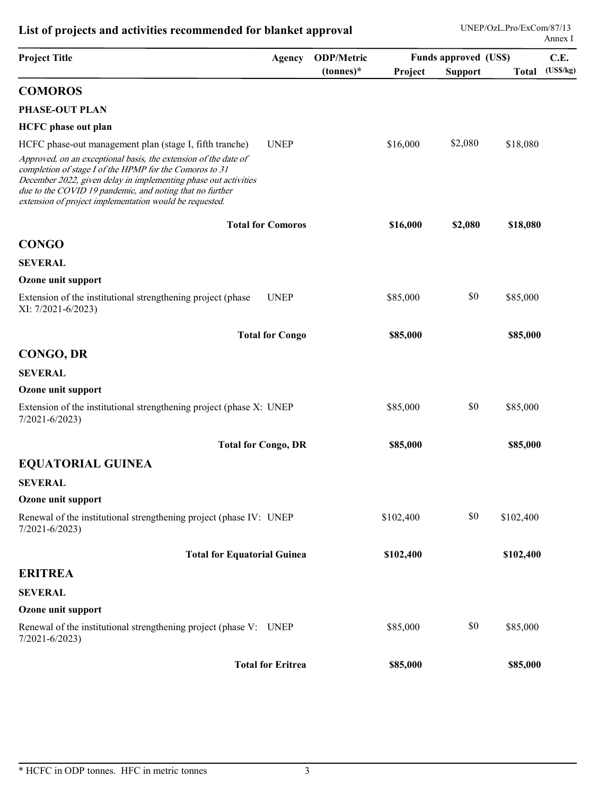|                                                                                                                                                                                                                                                                                                                      |                            |                                   |           | <b>Funds approved (US\$)</b> |           | Annex I<br>C.E. |
|----------------------------------------------------------------------------------------------------------------------------------------------------------------------------------------------------------------------------------------------------------------------------------------------------------------------|----------------------------|-----------------------------------|-----------|------------------------------|-----------|-----------------|
| <b>Project Title</b>                                                                                                                                                                                                                                                                                                 | Agency                     | <b>ODP/Metric</b><br>$(tonnes)^*$ | Project   | <b>Support</b>               | Total     | (USS/kg)        |
| <b>COMOROS</b>                                                                                                                                                                                                                                                                                                       |                            |                                   |           |                              |           |                 |
| PHASE-OUT PLAN                                                                                                                                                                                                                                                                                                       |                            |                                   |           |                              |           |                 |
| <b>HCFC</b> phase out plan                                                                                                                                                                                                                                                                                           |                            |                                   |           |                              |           |                 |
| HCFC phase-out management plan (stage I, fifth tranche)                                                                                                                                                                                                                                                              | <b>UNEP</b>                |                                   | \$16,000  | \$2,080                      | \$18,080  |                 |
| Approved, on an exceptional basis, the extension of the date of<br>completion of stage I of the HPMP for the Comoros to 31<br>December 2022, given delay in implementing phase out activities<br>due to the COVID 19 pandemic, and noting that no further<br>extension of project implementation would be requested. |                            |                                   |           |                              |           |                 |
|                                                                                                                                                                                                                                                                                                                      | <b>Total for Comoros</b>   |                                   | \$16,000  | \$2,080                      | \$18,080  |                 |
| <b>CONGO</b>                                                                                                                                                                                                                                                                                                         |                            |                                   |           |                              |           |                 |
| <b>SEVERAL</b>                                                                                                                                                                                                                                                                                                       |                            |                                   |           |                              |           |                 |
| Ozone unit support                                                                                                                                                                                                                                                                                                   |                            |                                   |           |                              |           |                 |
| Extension of the institutional strengthening project (phase<br>XI: 7/2021-6/2023)                                                                                                                                                                                                                                    | <b>UNEP</b>                |                                   | \$85,000  | \$0                          | \$85,000  |                 |
|                                                                                                                                                                                                                                                                                                                      | <b>Total for Congo</b>     |                                   | \$85,000  |                              | \$85,000  |                 |
| CONGO, DR                                                                                                                                                                                                                                                                                                            |                            |                                   |           |                              |           |                 |
| <b>SEVERAL</b>                                                                                                                                                                                                                                                                                                       |                            |                                   |           |                              |           |                 |
| Ozone unit support                                                                                                                                                                                                                                                                                                   |                            |                                   |           |                              |           |                 |
| Extension of the institutional strengthening project (phase X: UNEP<br>$7/2021 - 6/2023$                                                                                                                                                                                                                             |                            |                                   | \$85,000  | \$0                          | \$85,000  |                 |
|                                                                                                                                                                                                                                                                                                                      | <b>Total for Congo, DR</b> |                                   | \$85,000  |                              | \$85,000  |                 |
| <b>EQUATORIAL GUINEA</b>                                                                                                                                                                                                                                                                                             |                            |                                   |           |                              |           |                 |
| <b>SEVERAL</b>                                                                                                                                                                                                                                                                                                       |                            |                                   |           |                              |           |                 |
| Ozone unit support                                                                                                                                                                                                                                                                                                   |                            |                                   |           |                              |           |                 |
| Renewal of the institutional strengthening project (phase IV: UNEP<br>$7/2021 - 6/2023$                                                                                                                                                                                                                              |                            |                                   | \$102,400 | \$0                          | \$102,400 |                 |
| <b>Total for Equatorial Guinea</b>                                                                                                                                                                                                                                                                                   |                            |                                   | \$102,400 |                              | \$102,400 |                 |
| <b>ERITREA</b>                                                                                                                                                                                                                                                                                                       |                            |                                   |           |                              |           |                 |
| <b>SEVERAL</b>                                                                                                                                                                                                                                                                                                       |                            |                                   |           |                              |           |                 |
| Ozone unit support                                                                                                                                                                                                                                                                                                   |                            |                                   |           |                              |           |                 |
| Renewal of the institutional strengthening project (phase V: UNEP                                                                                                                                                                                                                                                    |                            |                                   | \$85,000  | \$0                          | \$85,000  |                 |
| $7/2021 - 6/2023$                                                                                                                                                                                                                                                                                                    |                            |                                   |           |                              |           |                 |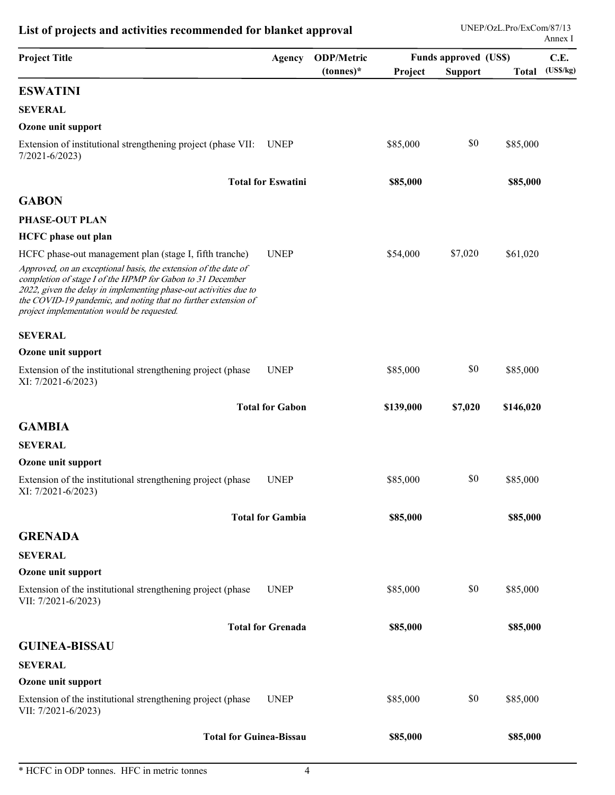| <b>Project Title</b>                                                                                                                                                                                                                                                                                                                                                          | Agency                    | <b>ODP/Metric</b> |           | Funds approved (US\$) | Annex I         | C.E. |
|-------------------------------------------------------------------------------------------------------------------------------------------------------------------------------------------------------------------------------------------------------------------------------------------------------------------------------------------------------------------------------|---------------------------|-------------------|-----------|-----------------------|-----------------|------|
|                                                                                                                                                                                                                                                                                                                                                                               |                           | $tonnes)*$        | Project   | <b>Support</b>        | Total (US\$/kg) |      |
| <b>ESWATINI</b>                                                                                                                                                                                                                                                                                                                                                               |                           |                   |           |                       |                 |      |
| <b>SEVERAL</b>                                                                                                                                                                                                                                                                                                                                                                |                           |                   |           |                       |                 |      |
| Ozone unit support                                                                                                                                                                                                                                                                                                                                                            |                           |                   |           | \$0                   |                 |      |
| Extension of institutional strengthening project (phase VII:<br>$7/2021 - 6/2023$                                                                                                                                                                                                                                                                                             | <b>UNEP</b>               |                   | \$85,000  |                       | \$85,000        |      |
|                                                                                                                                                                                                                                                                                                                                                                               | <b>Total for Eswatini</b> |                   | \$85,000  |                       | \$85,000        |      |
| <b>GABON</b>                                                                                                                                                                                                                                                                                                                                                                  |                           |                   |           |                       |                 |      |
| PHASE-OUT PLAN                                                                                                                                                                                                                                                                                                                                                                |                           |                   |           |                       |                 |      |
| <b>HCFC</b> phase out plan                                                                                                                                                                                                                                                                                                                                                    |                           |                   |           |                       |                 |      |
| HCFC phase-out management plan (stage I, fifth tranche)<br>Approved, on an exceptional basis, the extension of the date of<br>completion of stage I of the HPMP for Gabon to 31 December<br>2022, given the delay in implementing phase-out activities due to<br>the COVID-19 pandemic, and noting that no further extension of<br>project implementation would be requested. | <b>UNEP</b>               |                   | \$54,000  | \$7,020               | \$61,020        |      |
| <b>SEVERAL</b>                                                                                                                                                                                                                                                                                                                                                                |                           |                   |           |                       |                 |      |
| Ozone unit support                                                                                                                                                                                                                                                                                                                                                            |                           |                   |           |                       |                 |      |
| Extension of the institutional strengthening project (phase<br>XI: 7/2021-6/2023)                                                                                                                                                                                                                                                                                             | <b>UNEP</b>               |                   | \$85,000  | \$0                   | \$85,000        |      |
|                                                                                                                                                                                                                                                                                                                                                                               | <b>Total for Gabon</b>    |                   | \$139,000 | \$7,020               | \$146,020       |      |
| <b>GAMBIA</b>                                                                                                                                                                                                                                                                                                                                                                 |                           |                   |           |                       |                 |      |
| <b>SEVERAL</b>                                                                                                                                                                                                                                                                                                                                                                |                           |                   |           |                       |                 |      |
| Ozone unit support                                                                                                                                                                                                                                                                                                                                                            |                           |                   |           |                       |                 |      |
| Extension of the institutional strengthening project (phase<br>XI: 7/2021-6/2023)                                                                                                                                                                                                                                                                                             | <b>UNEP</b>               |                   | \$85,000  | \$0                   | \$85,000        |      |
|                                                                                                                                                                                                                                                                                                                                                                               | <b>Total for Gambia</b>   |                   | \$85,000  |                       | \$85,000        |      |
| <b>GRENADA</b>                                                                                                                                                                                                                                                                                                                                                                |                           |                   |           |                       |                 |      |
| <b>SEVERAL</b>                                                                                                                                                                                                                                                                                                                                                                |                           |                   |           |                       |                 |      |
| Ozone unit support                                                                                                                                                                                                                                                                                                                                                            |                           |                   |           |                       |                 |      |
| Extension of the institutional strengthening project (phase<br>VII: 7/2021-6/2023)                                                                                                                                                                                                                                                                                            | <b>UNEP</b>               |                   | \$85,000  | \$0                   | \$85,000        |      |
|                                                                                                                                                                                                                                                                                                                                                                               | <b>Total for Grenada</b>  |                   | \$85,000  |                       | \$85,000        |      |
| <b>GUINEA-BISSAU</b>                                                                                                                                                                                                                                                                                                                                                          |                           |                   |           |                       |                 |      |
| <b>SEVERAL</b>                                                                                                                                                                                                                                                                                                                                                                |                           |                   |           |                       |                 |      |
| Ozone unit support                                                                                                                                                                                                                                                                                                                                                            |                           |                   |           |                       |                 |      |
| Extension of the institutional strengthening project (phase UNEP<br>VII: 7/2021-6/2023)                                                                                                                                                                                                                                                                                       |                           |                   | \$85,000  | \$0                   | \$85,000        |      |
| <b>Total for Guinea-Bissau</b>                                                                                                                                                                                                                                                                                                                                                |                           |                   | \$85,000  |                       | \$85,000        |      |
| * HCFC in ODP tonnes. HFC in metric tonnes                                                                                                                                                                                                                                                                                                                                    | $\overline{4}$            |                   |           |                       |                 |      |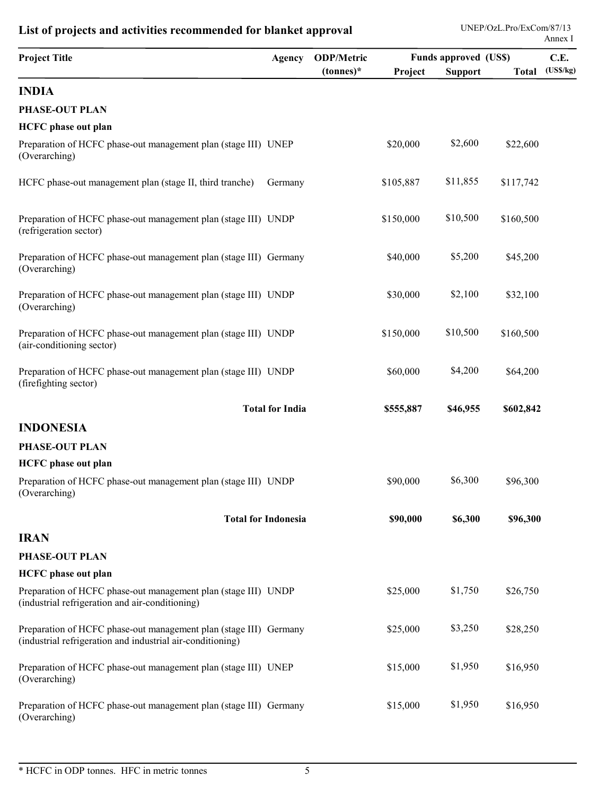|                                                                                                                                 |                            |                                  |           |                                                |           | Annex I                 |
|---------------------------------------------------------------------------------------------------------------------------------|----------------------------|----------------------------------|-----------|------------------------------------------------|-----------|-------------------------|
| <b>Project Title</b>                                                                                                            | <b>Agency</b>              | <b>ODP/Metric</b><br>$(tonnes)*$ | Project   | <b>Funds approved (US\$)</b><br><b>Support</b> |           | C.E.<br>Total (US\$/kg) |
| <b>INDIA</b>                                                                                                                    |                            |                                  |           |                                                |           |                         |
| PHASE-OUT PLAN                                                                                                                  |                            |                                  |           |                                                |           |                         |
| <b>HCFC</b> phase out plan                                                                                                      |                            |                                  |           |                                                |           |                         |
| Preparation of HCFC phase-out management plan (stage III) UNEP<br>(Overarching)                                                 |                            |                                  | \$20,000  | \$2,600                                        | \$22,600  |                         |
| HCFC phase-out management plan (stage II, third tranche)                                                                        | Germany                    |                                  | \$105,887 | \$11,855                                       | \$117,742 |                         |
| Preparation of HCFC phase-out management plan (stage III) UNDP<br>(refrigeration sector)                                        |                            |                                  | \$150,000 | \$10,500                                       | \$160,500 |                         |
| Preparation of HCFC phase-out management plan (stage III) Germany<br>(Overarching)                                              |                            |                                  | \$40,000  | \$5,200                                        | \$45,200  |                         |
| Preparation of HCFC phase-out management plan (stage III) UNDP<br>(Overarching)                                                 |                            |                                  | \$30,000  | \$2,100                                        | \$32,100  |                         |
| Preparation of HCFC phase-out management plan (stage III) UNDP<br>(air-conditioning sector)                                     |                            |                                  | \$150,000 | \$10,500                                       | \$160,500 |                         |
| Preparation of HCFC phase-out management plan (stage III) UNDP<br>(firefighting sector)                                         |                            |                                  | \$60,000  | \$4,200                                        | \$64,200  |                         |
|                                                                                                                                 | <b>Total for India</b>     |                                  | \$555,887 | \$46,955                                       | \$602,842 |                         |
| <b>INDONESIA</b>                                                                                                                |                            |                                  |           |                                                |           |                         |
| PHASE-OUT PLAN                                                                                                                  |                            |                                  |           |                                                |           |                         |
| <b>HCFC</b> phase out plan                                                                                                      |                            |                                  |           |                                                |           |                         |
| Preparation of HCFC phase-out management plan (stage III) UNDP<br>(Overarching)                                                 |                            |                                  | \$90,000  | \$6,300                                        | \$96,300  |                         |
|                                                                                                                                 | <b>Total for Indonesia</b> |                                  | \$90,000  | \$6,300                                        | \$96,300  |                         |
| <b>IRAN</b>                                                                                                                     |                            |                                  |           |                                                |           |                         |
| PHASE-OUT PLAN                                                                                                                  |                            |                                  |           |                                                |           |                         |
| <b>HCFC</b> phase out plan                                                                                                      |                            |                                  |           |                                                |           |                         |
| Preparation of HCFC phase-out management plan (stage III) UNDP<br>(industrial refrigeration and air-conditioning)               |                            |                                  | \$25,000  | \$1,750                                        | \$26,750  |                         |
| Preparation of HCFC phase-out management plan (stage III) Germany<br>(industrial refrigeration and industrial air-conditioning) |                            |                                  | \$25,000  | \$3,250                                        | \$28,250  |                         |
| Preparation of HCFC phase-out management plan (stage III) UNEP<br>(Overarching)                                                 |                            |                                  | \$15,000  | \$1,950                                        | \$16,950  |                         |
| Preparation of HCFC phase-out management plan (stage III) Germany<br>(Overarching)                                              |                            |                                  | \$15,000  | \$1,950                                        | \$16,950  |                         |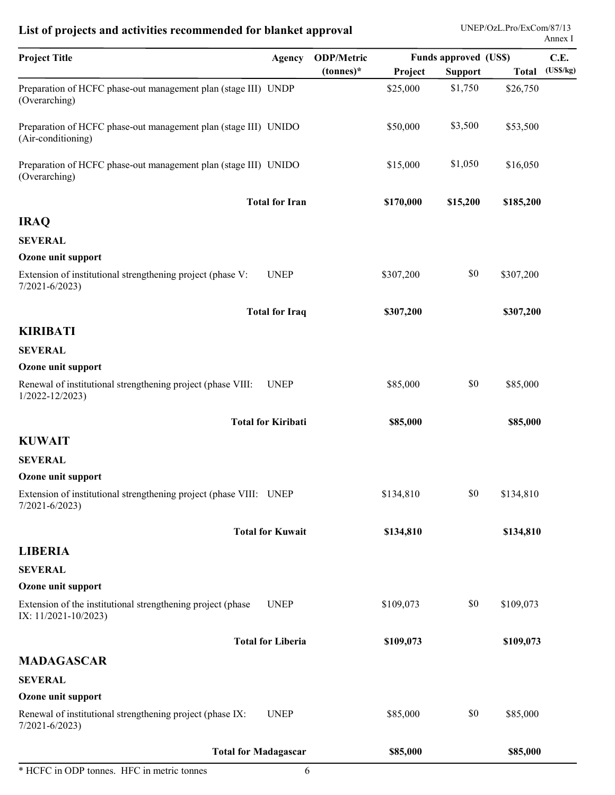| <b>Project Title</b>                                                                    | Agency                | <b>ODP/Metric</b> |           | <b>Funds approved (US\$)</b> |           | C.E.            |
|-----------------------------------------------------------------------------------------|-----------------------|-------------------|-----------|------------------------------|-----------|-----------------|
|                                                                                         |                       | $(tonnes)^*$      | Project   | <b>Support</b>               |           | Total (US\$/kg) |
| Preparation of HCFC phase-out management plan (stage III) UNDP<br>(Overarching)         |                       |                   | \$25,000  | \$1,750                      | \$26,750  |                 |
| Preparation of HCFC phase-out management plan (stage III) UNIDO<br>(Air-conditioning)   |                       |                   | \$50,000  | \$3,500                      | \$53,500  |                 |
| Preparation of HCFC phase-out management plan (stage III) UNIDO<br>(Overarching)        |                       |                   | \$15,000  | \$1,050                      | \$16,050  |                 |
|                                                                                         | <b>Total for Iran</b> |                   | \$170,000 | \$15,200                     | \$185,200 |                 |
| <b>IRAQ</b>                                                                             |                       |                   |           |                              |           |                 |
| <b>SEVERAL</b>                                                                          |                       |                   |           |                              |           |                 |
| Ozone unit support                                                                      |                       |                   |           |                              |           |                 |
| Extension of institutional strengthening project (phase V:<br>$7/2021 - 6/2023$         | <b>UNEP</b>           |                   | \$307,200 | \$0                          | \$307,200 |                 |
|                                                                                         | <b>Total for Iraq</b> |                   | \$307,200 |                              | \$307,200 |                 |
| <b>KIRIBATI</b>                                                                         |                       |                   |           |                              |           |                 |
| <b>SEVERAL</b>                                                                          |                       |                   |           |                              |           |                 |
| Ozone unit support                                                                      |                       |                   |           |                              |           |                 |
| Renewal of institutional strengthening project (phase VIII:<br>$1/2022 - 12/2023$       | <b>UNEP</b>           |                   | \$85,000  | \$0                          | \$85,000  |                 |
| <b>Total for Kiribati</b>                                                               |                       |                   | \$85,000  |                              | \$85,000  |                 |
| <b>KUWAIT</b>                                                                           |                       |                   |           |                              |           |                 |
| <b>SEVERAL</b>                                                                          |                       |                   |           |                              |           |                 |
| Ozone unit support                                                                      |                       |                   |           |                              |           |                 |
| Extension of institutional strengthening project (phase VIII: UNEP<br>$7/2021 - 6/2023$ |                       |                   | \$134,810 | \$0                          | \$134,810 |                 |
| <b>Total for Kuwait</b>                                                                 |                       |                   | \$134,810 |                              | \$134,810 |                 |
| <b>LIBERIA</b>                                                                          |                       |                   |           |                              |           |                 |
| <b>SEVERAL</b>                                                                          |                       |                   |           |                              |           |                 |
| Ozone unit support                                                                      |                       |                   |           |                              |           |                 |
| Extension of the institutional strengthening project (phase<br>IX: 11/2021-10/2023)     | <b>UNEP</b>           |                   | \$109,073 | $\$0$                        | \$109,073 |                 |
| <b>Total for Liberia</b>                                                                |                       |                   | \$109,073 |                              | \$109,073 |                 |
| <b>MADAGASCAR</b>                                                                       |                       |                   |           |                              |           |                 |
| <b>SEVERAL</b>                                                                          |                       |                   |           |                              |           |                 |
| Ozone unit support                                                                      |                       |                   |           |                              |           |                 |
| Renewal of institutional strengthening project (phase IX:<br>$7/2021 - 6/2023$          | <b>UNEP</b>           |                   | \$85,000  | $\$0$                        | \$85,000  |                 |
| <b>Total for Madagascar</b>                                                             |                       |                   | \$85,000  |                              | \$85,000  |                 |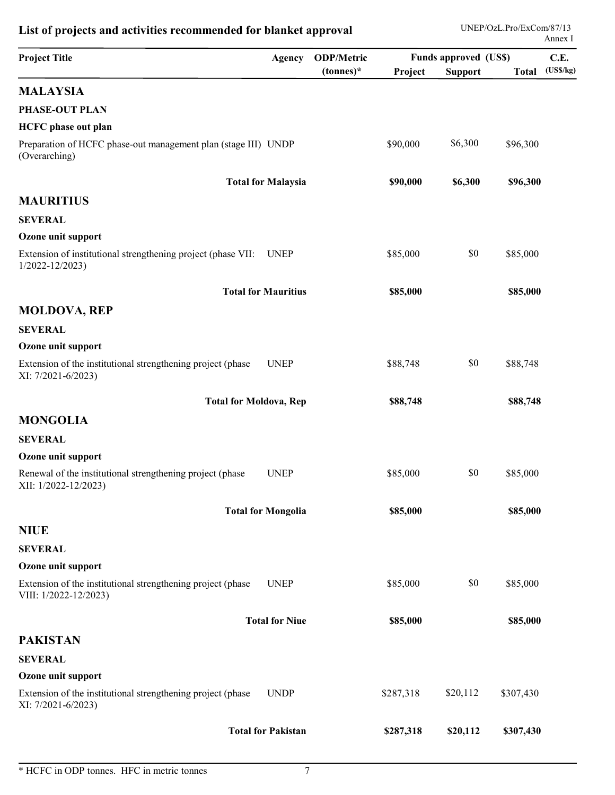| <b>Project Title</b>                                                                    | Agency                     | <b>ODP/Metric</b> |           | <b>Funds approved (US\$)</b> |                 | C.E. |
|-----------------------------------------------------------------------------------------|----------------------------|-------------------|-----------|------------------------------|-----------------|------|
|                                                                                         |                            | $(tonnes)*$       | Project   | <b>Support</b>               | Total (US\$/kg) |      |
| <b>MALAYSIA</b>                                                                         |                            |                   |           |                              |                 |      |
| PHASE-OUT PLAN                                                                          |                            |                   |           |                              |                 |      |
| <b>HCFC</b> phase out plan                                                              |                            |                   |           |                              |                 |      |
| Preparation of HCFC phase-out management plan (stage III) UNDP<br>(Overarching)         |                            |                   | \$90,000  | \$6,300                      | \$96,300        |      |
|                                                                                         | <b>Total for Malaysia</b>  |                   | \$90,000  | \$6,300                      | \$96,300        |      |
| <b>MAURITIUS</b>                                                                        |                            |                   |           |                              |                 |      |
| <b>SEVERAL</b>                                                                          |                            |                   |           |                              |                 |      |
| Ozone unit support                                                                      |                            |                   |           |                              |                 |      |
| Extension of institutional strengthening project (phase VII: UNEP<br>$1/2022 - 12/2023$ |                            |                   | \$85,000  | $\$0$                        | \$85,000        |      |
|                                                                                         | <b>Total for Mauritius</b> |                   | \$85,000  |                              | \$85,000        |      |
| <b>MOLDOVA, REP</b>                                                                     |                            |                   |           |                              |                 |      |
| <b>SEVERAL</b>                                                                          |                            |                   |           |                              |                 |      |
| Ozone unit support                                                                      |                            |                   |           |                              |                 |      |
| Extension of the institutional strengthening project (phase<br>XI: 7/2021-6/2023)       | <b>UNEP</b>                |                   | \$88,748  | \$0                          | \$88,748        |      |
| <b>Total for Moldova, Rep</b>                                                           |                            |                   | \$88,748  |                              | \$88,748        |      |
| <b>MONGOLIA</b>                                                                         |                            |                   |           |                              |                 |      |
| <b>SEVERAL</b>                                                                          |                            |                   |           |                              |                 |      |
| Ozone unit support                                                                      |                            |                   |           |                              |                 |      |
| Renewal of the institutional strengthening project (phase<br>XII: 1/2022-12/2023)       | <b>UNEP</b>                |                   | \$85,000  | \$0                          | \$85,000        |      |
|                                                                                         | <b>Total for Mongolia</b>  |                   | \$85,000  |                              | \$85,000        |      |
| <b>NIUE</b>                                                                             |                            |                   |           |                              |                 |      |
| <b>SEVERAL</b>                                                                          |                            |                   |           |                              |                 |      |
| Ozone unit support                                                                      |                            |                   |           |                              |                 |      |
| Extension of the institutional strengthening project (phase<br>VIII: 1/2022-12/2023)    | <b>UNEP</b>                |                   | \$85,000  | \$0                          | \$85,000        |      |
|                                                                                         | <b>Total for Niue</b>      |                   | \$85,000  |                              | \$85,000        |      |
| <b>PAKISTAN</b>                                                                         |                            |                   |           |                              |                 |      |
| <b>SEVERAL</b>                                                                          |                            |                   |           |                              |                 |      |
| Ozone unit support                                                                      |                            |                   |           |                              |                 |      |
| Extension of the institutional strengthening project (phase<br>XI: 7/2021-6/2023)       | <b>UNDP</b>                |                   | \$287,318 | \$20,112                     | \$307,430       |      |
|                                                                                         |                            |                   | \$287,318 | \$20,112                     | \$307,430       |      |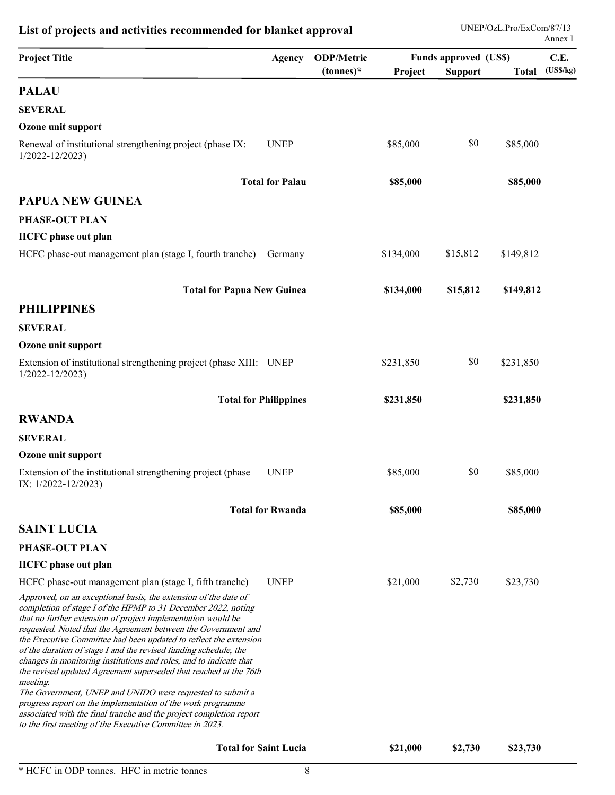| (USS/kg)<br>$(tonnes)^*$<br>Project<br><b>Support</b><br><b>Total</b><br><b>PALAU</b><br><b>SEVERAL</b><br>Ozone unit support<br>\$0<br><b>UNEP</b><br>Renewal of institutional strengthening project (phase IX:<br>\$85,000<br>\$85,000<br>$1/2022 - 12/2023$<br><b>Total for Palau</b><br>\$85,000<br>\$85,000<br><b>PAPUA NEW GUINEA</b><br>PHASE-OUT PLAN<br><b>HCFC</b> phase out plan<br>\$15,812<br>\$134,000<br>\$149,812<br>HCFC phase-out management plan (stage I, fourth tranche) Germany<br><b>Total for Papua New Guinea</b><br>\$134,000<br>\$15,812<br>\$149,812<br><b>PHILIPPINES</b><br><b>SEVERAL</b><br>Ozone unit support<br>\$0<br>Extension of institutional strengthening project (phase XIII: UNEP<br>\$231,850<br>\$231,850<br>$1/2022 - 12/2023$<br><b>Total for Philippines</b><br>\$231,850<br>\$231,850<br><b>RWANDA</b><br><b>SEVERAL</b><br>Ozone unit support<br>\$0<br>Extension of the institutional strengthening project (phase<br><b>UNEP</b><br>\$85,000<br>\$85,000<br>IX: 1/2022-12/2023)<br><b>Total for Rwanda</b><br>\$85,000<br>\$85,000<br><b>SAINT LUCIA</b><br>PHASE-OUT PLAN<br><b>HCFC</b> phase out plan<br>\$2,730<br>\$23,730<br>HCFC phase-out management plan (stage I, fifth tranche)<br><b>UNEP</b><br>\$21,000<br>Approved, on an exceptional basis, the extension of the date of<br>completion of stage I of the HPMP to 31 December 2022, noting<br>that no further extension of project implementation would be<br>requested. Noted that the Agreement between the Government and<br>the Executive Committee had been updated to reflect the extension<br>of the duration of stage I and the revised funding schedule, the<br>changes in monitoring institutions and roles, and to indicate that<br>the revised updated Agreement superseded that reached at the 76th<br>meeting.<br>The Government, UNEP and UNIDO were requested to submit a<br>progress report on the implementation of the work programme<br>associated with the final tranche and the project completion report<br>to the first meeting of the Executive Committee in 2023.<br><b>Total for Saint Lucia</b><br>\$21,000<br>\$2,730<br>\$23,730 | <b>Project Title</b> | Agency | <b>ODP/Metric</b> | <b>Funds approved (US\$)</b> | C.E. |
|----------------------------------------------------------------------------------------------------------------------------------------------------------------------------------------------------------------------------------------------------------------------------------------------------------------------------------------------------------------------------------------------------------------------------------------------------------------------------------------------------------------------------------------------------------------------------------------------------------------------------------------------------------------------------------------------------------------------------------------------------------------------------------------------------------------------------------------------------------------------------------------------------------------------------------------------------------------------------------------------------------------------------------------------------------------------------------------------------------------------------------------------------------------------------------------------------------------------------------------------------------------------------------------------------------------------------------------------------------------------------------------------------------------------------------------------------------------------------------------------------------------------------------------------------------------------------------------------------------------------------------------------------------------------------------------------------------------------------------------------------------------------------------------------------------------------------------------------------------------------------------------------------------------------------------------------------------------------------------------------------------------------------------------------------------------------------------------------------------------------------------------------------------------------------------|----------------------|--------|-------------------|------------------------------|------|
|                                                                                                                                                                                                                                                                                                                                                                                                                                                                                                                                                                                                                                                                                                                                                                                                                                                                                                                                                                                                                                                                                                                                                                                                                                                                                                                                                                                                                                                                                                                                                                                                                                                                                                                                                                                                                                                                                                                                                                                                                                                                                                                                                                                  |                      |        |                   |                              |      |
|                                                                                                                                                                                                                                                                                                                                                                                                                                                                                                                                                                                                                                                                                                                                                                                                                                                                                                                                                                                                                                                                                                                                                                                                                                                                                                                                                                                                                                                                                                                                                                                                                                                                                                                                                                                                                                                                                                                                                                                                                                                                                                                                                                                  |                      |        |                   |                              |      |
|                                                                                                                                                                                                                                                                                                                                                                                                                                                                                                                                                                                                                                                                                                                                                                                                                                                                                                                                                                                                                                                                                                                                                                                                                                                                                                                                                                                                                                                                                                                                                                                                                                                                                                                                                                                                                                                                                                                                                                                                                                                                                                                                                                                  |                      |        |                   |                              |      |
|                                                                                                                                                                                                                                                                                                                                                                                                                                                                                                                                                                                                                                                                                                                                                                                                                                                                                                                                                                                                                                                                                                                                                                                                                                                                                                                                                                                                                                                                                                                                                                                                                                                                                                                                                                                                                                                                                                                                                                                                                                                                                                                                                                                  |                      |        |                   |                              |      |
|                                                                                                                                                                                                                                                                                                                                                                                                                                                                                                                                                                                                                                                                                                                                                                                                                                                                                                                                                                                                                                                                                                                                                                                                                                                                                                                                                                                                                                                                                                                                                                                                                                                                                                                                                                                                                                                                                                                                                                                                                                                                                                                                                                                  |                      |        |                   |                              |      |
|                                                                                                                                                                                                                                                                                                                                                                                                                                                                                                                                                                                                                                                                                                                                                                                                                                                                                                                                                                                                                                                                                                                                                                                                                                                                                                                                                                                                                                                                                                                                                                                                                                                                                                                                                                                                                                                                                                                                                                                                                                                                                                                                                                                  |                      |        |                   |                              |      |
|                                                                                                                                                                                                                                                                                                                                                                                                                                                                                                                                                                                                                                                                                                                                                                                                                                                                                                                                                                                                                                                                                                                                                                                                                                                                                                                                                                                                                                                                                                                                                                                                                                                                                                                                                                                                                                                                                                                                                                                                                                                                                                                                                                                  |                      |        |                   |                              |      |
|                                                                                                                                                                                                                                                                                                                                                                                                                                                                                                                                                                                                                                                                                                                                                                                                                                                                                                                                                                                                                                                                                                                                                                                                                                                                                                                                                                                                                                                                                                                                                                                                                                                                                                                                                                                                                                                                                                                                                                                                                                                                                                                                                                                  |                      |        |                   |                              |      |
|                                                                                                                                                                                                                                                                                                                                                                                                                                                                                                                                                                                                                                                                                                                                                                                                                                                                                                                                                                                                                                                                                                                                                                                                                                                                                                                                                                                                                                                                                                                                                                                                                                                                                                                                                                                                                                                                                                                                                                                                                                                                                                                                                                                  |                      |        |                   |                              |      |
|                                                                                                                                                                                                                                                                                                                                                                                                                                                                                                                                                                                                                                                                                                                                                                                                                                                                                                                                                                                                                                                                                                                                                                                                                                                                                                                                                                                                                                                                                                                                                                                                                                                                                                                                                                                                                                                                                                                                                                                                                                                                                                                                                                                  |                      |        |                   |                              |      |
|                                                                                                                                                                                                                                                                                                                                                                                                                                                                                                                                                                                                                                                                                                                                                                                                                                                                                                                                                                                                                                                                                                                                                                                                                                                                                                                                                                                                                                                                                                                                                                                                                                                                                                                                                                                                                                                                                                                                                                                                                                                                                                                                                                                  |                      |        |                   |                              |      |
|                                                                                                                                                                                                                                                                                                                                                                                                                                                                                                                                                                                                                                                                                                                                                                                                                                                                                                                                                                                                                                                                                                                                                                                                                                                                                                                                                                                                                                                                                                                                                                                                                                                                                                                                                                                                                                                                                                                                                                                                                                                                                                                                                                                  |                      |        |                   |                              |      |
|                                                                                                                                                                                                                                                                                                                                                                                                                                                                                                                                                                                                                                                                                                                                                                                                                                                                                                                                                                                                                                                                                                                                                                                                                                                                                                                                                                                                                                                                                                                                                                                                                                                                                                                                                                                                                                                                                                                                                                                                                                                                                                                                                                                  |                      |        |                   |                              |      |
|                                                                                                                                                                                                                                                                                                                                                                                                                                                                                                                                                                                                                                                                                                                                                                                                                                                                                                                                                                                                                                                                                                                                                                                                                                                                                                                                                                                                                                                                                                                                                                                                                                                                                                                                                                                                                                                                                                                                                                                                                                                                                                                                                                                  |                      |        |                   |                              |      |
|                                                                                                                                                                                                                                                                                                                                                                                                                                                                                                                                                                                                                                                                                                                                                                                                                                                                                                                                                                                                                                                                                                                                                                                                                                                                                                                                                                                                                                                                                                                                                                                                                                                                                                                                                                                                                                                                                                                                                                                                                                                                                                                                                                                  |                      |        |                   |                              |      |
|                                                                                                                                                                                                                                                                                                                                                                                                                                                                                                                                                                                                                                                                                                                                                                                                                                                                                                                                                                                                                                                                                                                                                                                                                                                                                                                                                                                                                                                                                                                                                                                                                                                                                                                                                                                                                                                                                                                                                                                                                                                                                                                                                                                  |                      |        |                   |                              |      |
|                                                                                                                                                                                                                                                                                                                                                                                                                                                                                                                                                                                                                                                                                                                                                                                                                                                                                                                                                                                                                                                                                                                                                                                                                                                                                                                                                                                                                                                                                                                                                                                                                                                                                                                                                                                                                                                                                                                                                                                                                                                                                                                                                                                  |                      |        |                   |                              |      |
|                                                                                                                                                                                                                                                                                                                                                                                                                                                                                                                                                                                                                                                                                                                                                                                                                                                                                                                                                                                                                                                                                                                                                                                                                                                                                                                                                                                                                                                                                                                                                                                                                                                                                                                                                                                                                                                                                                                                                                                                                                                                                                                                                                                  |                      |        |                   |                              |      |
|                                                                                                                                                                                                                                                                                                                                                                                                                                                                                                                                                                                                                                                                                                                                                                                                                                                                                                                                                                                                                                                                                                                                                                                                                                                                                                                                                                                                                                                                                                                                                                                                                                                                                                                                                                                                                                                                                                                                                                                                                                                                                                                                                                                  |                      |        |                   |                              |      |
|                                                                                                                                                                                                                                                                                                                                                                                                                                                                                                                                                                                                                                                                                                                                                                                                                                                                                                                                                                                                                                                                                                                                                                                                                                                                                                                                                                                                                                                                                                                                                                                                                                                                                                                                                                                                                                                                                                                                                                                                                                                                                                                                                                                  |                      |        |                   |                              |      |
|                                                                                                                                                                                                                                                                                                                                                                                                                                                                                                                                                                                                                                                                                                                                                                                                                                                                                                                                                                                                                                                                                                                                                                                                                                                                                                                                                                                                                                                                                                                                                                                                                                                                                                                                                                                                                                                                                                                                                                                                                                                                                                                                                                                  |                      |        |                   |                              |      |
|                                                                                                                                                                                                                                                                                                                                                                                                                                                                                                                                                                                                                                                                                                                                                                                                                                                                                                                                                                                                                                                                                                                                                                                                                                                                                                                                                                                                                                                                                                                                                                                                                                                                                                                                                                                                                                                                                                                                                                                                                                                                                                                                                                                  |                      |        |                   |                              |      |
|                                                                                                                                                                                                                                                                                                                                                                                                                                                                                                                                                                                                                                                                                                                                                                                                                                                                                                                                                                                                                                                                                                                                                                                                                                                                                                                                                                                                                                                                                                                                                                                                                                                                                                                                                                                                                                                                                                                                                                                                                                                                                                                                                                                  |                      |        |                   |                              |      |
|                                                                                                                                                                                                                                                                                                                                                                                                                                                                                                                                                                                                                                                                                                                                                                                                                                                                                                                                                                                                                                                                                                                                                                                                                                                                                                                                                                                                                                                                                                                                                                                                                                                                                                                                                                                                                                                                                                                                                                                                                                                                                                                                                                                  |                      |        |                   |                              |      |
|                                                                                                                                                                                                                                                                                                                                                                                                                                                                                                                                                                                                                                                                                                                                                                                                                                                                                                                                                                                                                                                                                                                                                                                                                                                                                                                                                                                                                                                                                                                                                                                                                                                                                                                                                                                                                                                                                                                                                                                                                                                                                                                                                                                  |                      |        |                   |                              |      |
|                                                                                                                                                                                                                                                                                                                                                                                                                                                                                                                                                                                                                                                                                                                                                                                                                                                                                                                                                                                                                                                                                                                                                                                                                                                                                                                                                                                                                                                                                                                                                                                                                                                                                                                                                                                                                                                                                                                                                                                                                                                                                                                                                                                  |                      |        |                   |                              |      |
|                                                                                                                                                                                                                                                                                                                                                                                                                                                                                                                                                                                                                                                                                                                                                                                                                                                                                                                                                                                                                                                                                                                                                                                                                                                                                                                                                                                                                                                                                                                                                                                                                                                                                                                                                                                                                                                                                                                                                                                                                                                                                                                                                                                  |                      |        |                   |                              |      |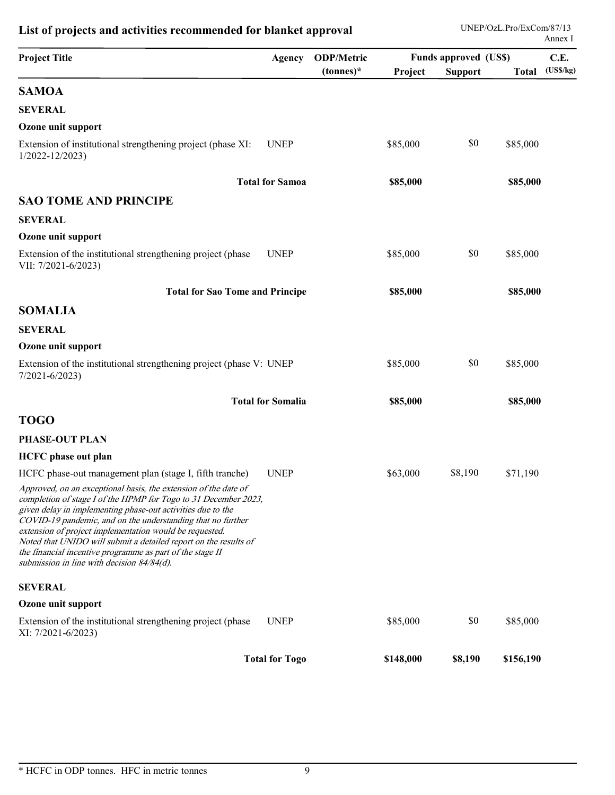|                                                                                                                                                                                                                                                                                                                                                                                                                                                                                                            |                          | List of projects and activities recommended for blanket approval | UNEP/OzL.Pro/ExCom/87/13<br>Annex I<br><b>Funds approved (US\$)</b> |                |           |                  |
|------------------------------------------------------------------------------------------------------------------------------------------------------------------------------------------------------------------------------------------------------------------------------------------------------------------------------------------------------------------------------------------------------------------------------------------------------------------------------------------------------------|--------------------------|------------------------------------------------------------------|---------------------------------------------------------------------|----------------|-----------|------------------|
| <b>Project Title</b>                                                                                                                                                                                                                                                                                                                                                                                                                                                                                       | Agency                   | <b>ODP/Metric</b><br>$(tonnes)^*$                                | Project                                                             | <b>Support</b> | Total     | C.E.<br>(USS/kg) |
| <b>SAMOA</b>                                                                                                                                                                                                                                                                                                                                                                                                                                                                                               |                          |                                                                  |                                                                     |                |           |                  |
| <b>SEVERAL</b>                                                                                                                                                                                                                                                                                                                                                                                                                                                                                             |                          |                                                                  |                                                                     |                |           |                  |
| Ozone unit support                                                                                                                                                                                                                                                                                                                                                                                                                                                                                         |                          |                                                                  |                                                                     |                |           |                  |
| Extension of institutional strengthening project (phase XI:<br>$1/2022 - 12/2023$                                                                                                                                                                                                                                                                                                                                                                                                                          | <b>UNEP</b>              |                                                                  | \$85,000                                                            | \$0            | \$85,000  |                  |
|                                                                                                                                                                                                                                                                                                                                                                                                                                                                                                            | <b>Total for Samoa</b>   |                                                                  | \$85,000                                                            |                | \$85,000  |                  |
| <b>SAO TOME AND PRINCIPE</b>                                                                                                                                                                                                                                                                                                                                                                                                                                                                               |                          |                                                                  |                                                                     |                |           |                  |
| <b>SEVERAL</b>                                                                                                                                                                                                                                                                                                                                                                                                                                                                                             |                          |                                                                  |                                                                     |                |           |                  |
| Ozone unit support                                                                                                                                                                                                                                                                                                                                                                                                                                                                                         |                          |                                                                  |                                                                     |                |           |                  |
| Extension of the institutional strengthening project (phase<br>VII: 7/2021-6/2023)                                                                                                                                                                                                                                                                                                                                                                                                                         | <b>UNEP</b>              |                                                                  | \$85,000                                                            | \$0            | \$85,000  |                  |
| <b>Total for Sao Tome and Principe</b>                                                                                                                                                                                                                                                                                                                                                                                                                                                                     |                          |                                                                  | \$85,000                                                            |                | \$85,000  |                  |
| <b>SOMALIA</b>                                                                                                                                                                                                                                                                                                                                                                                                                                                                                             |                          |                                                                  |                                                                     |                |           |                  |
| <b>SEVERAL</b>                                                                                                                                                                                                                                                                                                                                                                                                                                                                                             |                          |                                                                  |                                                                     |                |           |                  |
| Ozone unit support                                                                                                                                                                                                                                                                                                                                                                                                                                                                                         |                          |                                                                  |                                                                     |                |           |                  |
| Extension of the institutional strengthening project (phase V: UNEP<br>$7/2021 - 6/2023$                                                                                                                                                                                                                                                                                                                                                                                                                   |                          |                                                                  | \$85,000                                                            | \$0            | \$85,000  |                  |
|                                                                                                                                                                                                                                                                                                                                                                                                                                                                                                            | <b>Total for Somalia</b> |                                                                  | \$85,000                                                            |                | \$85,000  |                  |
| <b>TOGO</b>                                                                                                                                                                                                                                                                                                                                                                                                                                                                                                |                          |                                                                  |                                                                     |                |           |                  |
| PHASE-OUT PLAN                                                                                                                                                                                                                                                                                                                                                                                                                                                                                             |                          |                                                                  |                                                                     |                |           |                  |
| <b>HCFC</b> phase out plan                                                                                                                                                                                                                                                                                                                                                                                                                                                                                 |                          |                                                                  |                                                                     |                |           |                  |
| HCFC phase-out management plan (stage I, fifth tranche)                                                                                                                                                                                                                                                                                                                                                                                                                                                    | <b>UNEP</b>              |                                                                  | \$63,000                                                            | \$8,190        | \$71,190  |                  |
| Approved, on an exceptional basis, the extension of the date of<br>completion of stage I of the HPMP for Togo to 31 December 2023,<br>given delay in implementing phase-out activities due to the<br>COVID-19 pandemic, and on the understanding that no further<br>extension of project implementation would be requested.<br>Noted that UNIDO will submit a detailed report on the results of<br>the financial incentive programme as part of the stage II<br>submission in line with decision 84/84(d). |                          |                                                                  |                                                                     |                |           |                  |
| <b>SEVERAL</b>                                                                                                                                                                                                                                                                                                                                                                                                                                                                                             |                          |                                                                  |                                                                     |                |           |                  |
| Ozone unit support                                                                                                                                                                                                                                                                                                                                                                                                                                                                                         |                          |                                                                  |                                                                     |                |           |                  |
| Extension of the institutional strengthening project (phase<br>XI: 7/2021-6/2023)                                                                                                                                                                                                                                                                                                                                                                                                                          | <b>UNEP</b>              |                                                                  | \$85,000                                                            | \$0            | \$85,000  |                  |
|                                                                                                                                                                                                                                                                                                                                                                                                                                                                                                            | <b>Total for Togo</b>    |                                                                  | \$148,000                                                           | \$8,190        | \$156,190 |                  |